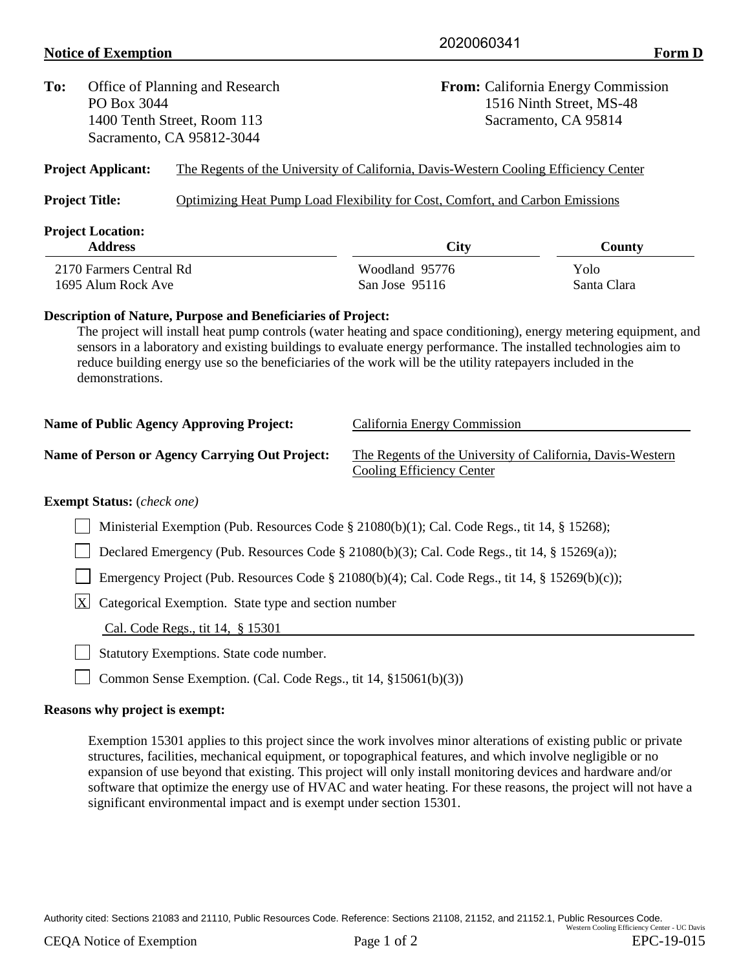## **Notice of Exemption** Form D

| To:                                             | Office of Planning and Research<br>PO Box 3044<br>1400 Tenth Street, Room 113<br>Sacramento, CA 95812-3044 |                                                                     | <b>From:</b> California Energy Commission<br>1516 Ninth Street, MS-48<br>Sacramento, CA 95814                                                                                                                                                                                                                                                        |                     |  |  |  |
|-------------------------------------------------|------------------------------------------------------------------------------------------------------------|---------------------------------------------------------------------|------------------------------------------------------------------------------------------------------------------------------------------------------------------------------------------------------------------------------------------------------------------------------------------------------------------------------------------------------|---------------------|--|--|--|
|                                                 | <b>Project Applicant:</b>                                                                                  |                                                                     | The Regents of the University of California, Davis-Western Cooling Efficiency Center                                                                                                                                                                                                                                                                 |                     |  |  |  |
|                                                 | <b>Project Title:</b>                                                                                      |                                                                     | Optimizing Heat Pump Load Flexibility for Cost, Comfort, and Carbon Emissions                                                                                                                                                                                                                                                                        |                     |  |  |  |
| <b>Project Location:</b><br><b>Address</b>      |                                                                                                            |                                                                     | <b>City</b>                                                                                                                                                                                                                                                                                                                                          | County              |  |  |  |
| 2170 Farmers Central Rd<br>1695 Alum Rock Ave   |                                                                                                            |                                                                     | Woodland 95776<br>San Jose 95116                                                                                                                                                                                                                                                                                                                     | Yolo<br>Santa Clara |  |  |  |
|                                                 | demonstrations.                                                                                            | <b>Description of Nature, Purpose and Beneficiaries of Project:</b> | The project will install heat pump controls (water heating and space conditioning), energy metering equipment, and<br>sensors in a laboratory and existing buildings to evaluate energy performance. The installed technologies aim to<br>reduce building energy use so the beneficiaries of the work will be the utility ratepayers included in the |                     |  |  |  |
| <b>Name of Public Agency Approving Project:</b> |                                                                                                            |                                                                     | <b>California Energy Commission</b>                                                                                                                                                                                                                                                                                                                  |                     |  |  |  |
|                                                 |                                                                                                            | <b>Name of Person or Agency Carrying Out Project:</b>               | The Regents of the University of California, Davis-Western<br><b>Cooling Efficiency Center</b>                                                                                                                                                                                                                                                       |                     |  |  |  |
|                                                 | <b>Exempt Status:</b> (check one)                                                                          |                                                                     |                                                                                                                                                                                                                                                                                                                                                      |                     |  |  |  |
|                                                 | Ministerial Exemption (Pub. Resources Code § 21080(b)(1); Cal. Code Regs., tit 14, § 15268);               |                                                                     |                                                                                                                                                                                                                                                                                                                                                      |                     |  |  |  |
|                                                 | Declared Emergency (Pub. Resources Code § 21080(b)(3); Cal. Code Regs., tit 14, § 15269(a));               |                                                                     |                                                                                                                                                                                                                                                                                                                                                      |                     |  |  |  |
|                                                 | Emergency Project (Pub. Resources Code § 21080(b)(4); Cal. Code Regs., tit 14, § 15269(b)(c));             |                                                                     |                                                                                                                                                                                                                                                                                                                                                      |                     |  |  |  |
|                                                 | X<br>Categorical Exemption. State type and section number                                                  |                                                                     |                                                                                                                                                                                                                                                                                                                                                      |                     |  |  |  |
|                                                 |                                                                                                            | Cal. Code Regs., tit 14, § 15301                                    |                                                                                                                                                                                                                                                                                                                                                      |                     |  |  |  |
|                                                 | Statutory Exemptions. State code number.                                                                   |                                                                     |                                                                                                                                                                                                                                                                                                                                                      |                     |  |  |  |
|                                                 |                                                                                                            | Common Sense Exemption. (Cal. Code Regs., tit 14, §15061(b)(3))     |                                                                                                                                                                                                                                                                                                                                                      |                     |  |  |  |
|                                                 | Reasons why project is exempt:                                                                             |                                                                     |                                                                                                                                                                                                                                                                                                                                                      |                     |  |  |  |

Exemption 15301 applies to this project since the work involves minor alterations of existing public or private structures, facilities, mechanical equipment, or topographical features, and which involve negligible or no expansion of use beyond that existing. This project will only install monitoring devices and hardware and/or software that optimize the energy use of HVAC and water heating. For these reasons, the project will not have a significant environmental impact and is exempt under section 15301.

Authority cited: Sections 21083 and 21110, Public Resources Code. Reference: Sections 21108, 21152, and 21152.1, Public Resources Code. Western Cooling Efficiency Center - UC Davis